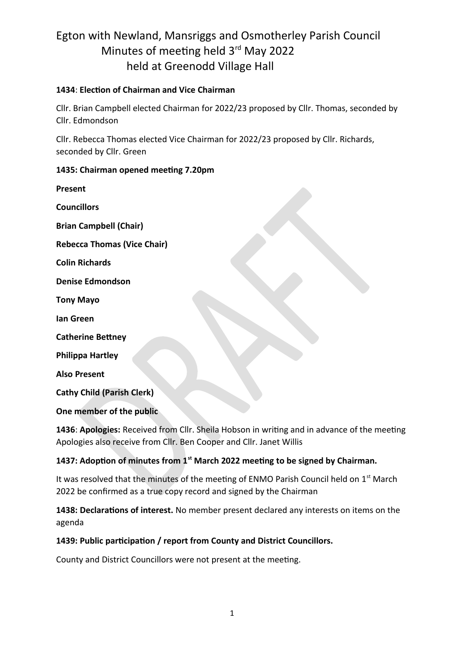#### **1434**: **Election of Chairman and Vice Chairman**

Cllr. Brian Campbell elected Chairman for 2022/23 proposed by Cllr. Thomas, seconded by Cllr. Edmondson

Cllr. Rebecca Thomas elected Vice Chairman for 2022/23 proposed by Cllr. Richards, seconded by Cllr. Green

#### **1435: Chairman opened meeting 7.20pm**

| Present                            |  |
|------------------------------------|--|
| <b>Councillors</b>                 |  |
| <b>Brian Campbell (Chair)</b>      |  |
| <b>Rebecca Thomas (Vice Chair)</b> |  |
| <b>Colin Richards</b>              |  |
| <b>Denise Edmondson</b>            |  |
| <b>Tony Mayo</b>                   |  |
| lan Green                          |  |
| <b>Catherine Bettney</b>           |  |
| <b>Philippa Hartley</b>            |  |
| <b>Also Present</b>                |  |
| <b>Cathy Child (Parish Clerk)</b>  |  |
| One member of the public           |  |

**1436**: **Apologies:** Received from Cllr. Sheila Hobson in writing and in advance of the meeting Apologies also receive from Cllr. Ben Cooper and Cllr. Janet Willis

### **1437: Adoption of minutes from 1st March 2022 meeting to be signed by Chairman.**

It was resolved that the minutes of the meeting of ENMO Parish Council held on  $1<sup>st</sup>$  March 2022 be confirmed as a true copy record and signed by the Chairman

**1438: Declarations of interest.** No member present declared any interests on items on the agenda

### **1439: Public participation / report from County and District Councillors.**

County and District Councillors were not present at the meeting.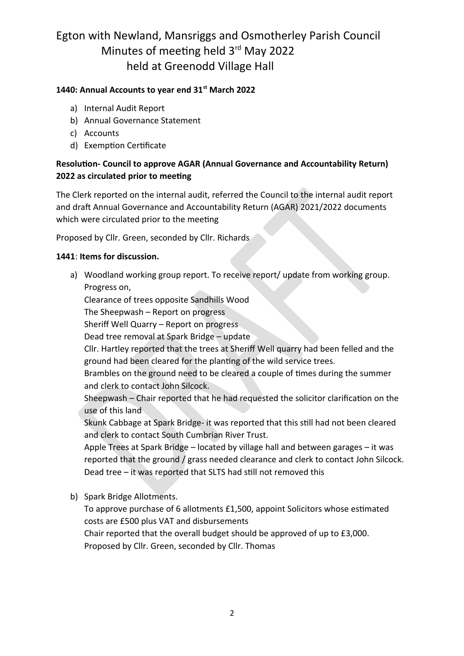#### **1440: Annual Accounts to year end 31st March 2022**

- a) Internal Audit Report
- b) Annual Governance Statement
- c) Accounts
- d) Exemption Certificate

### **Resolution- Council to approve AGAR (Annual Governance and Accountability Return) 2022 as circulated prior to meeting**

The Clerk reported on the internal audit, referred the Council to the internal audit report and draft Annual Governance and Accountability Return (AGAR) 2021/2022 documents which were circulated prior to the meeting

Proposed by Cllr. Green, seconded by Cllr. Richards

#### **1441**: **Items for discussion.**

a) Woodland working group report. To receive report/ update from working group. Progress on,

Clearance of trees opposite Sandhills Wood

The Sheepwash – Report on progress

Sheriff Well Quarry – Report on progress

Dead tree removal at Spark Bridge – update

Cllr. Hartley reported that the trees at Sheriff Well quarry had been felled and the ground had been cleared for the planting of the wild service trees.

Brambles on the ground need to be cleared a couple of times during the summer and clerk to contact John Silcock.

Sheepwash – Chair reported that he had requested the solicitor clarification on the use of this land

Skunk Cabbage at Spark Bridge- it was reported that this still had not been cleared and clerk to contact South Cumbrian River Trust.

Apple Trees at Spark Bridge – located by village hall and between garages – it was reported that the ground / grass needed clearance and clerk to contact John Silcock. Dead tree – it was reported that SLTS had still not removed this

b) Spark Bridge Allotments.

To approve purchase of 6 allotments £1,500, appoint Solicitors whose estimated costs are £500 plus VAT and disbursements

Chair reported that the overall budget should be approved of up to £3,000. Proposed by Cllr. Green, seconded by Cllr. Thomas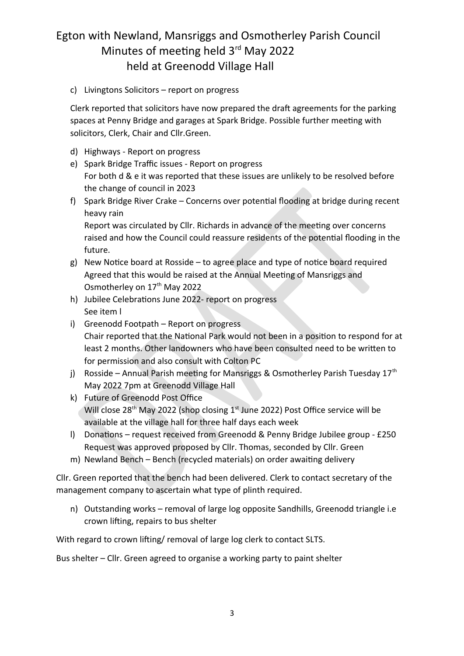c) Livingtons Solicitors – report on progress

Clerk reported that solicitors have now prepared the draft agreements for the parking spaces at Penny Bridge and garages at Spark Bridge. Possible further meeting with solicitors, Clerk, Chair and Cllr.Green.

- d) Highways Report on progress
- e) Spark Bridge Traffic issues Report on progress For both d & e it was reported that these issues are unlikely to be resolved before the change of council in 2023
- f) Spark Bridge River Crake Concerns over potential flooding at bridge during recent heavy rain

Report was circulated by Cllr. Richards in advance of the meeting over concerns raised and how the Council could reassure residents of the potential flooding in the future.

- g) New Notice board at Rosside to agree place and type of notice board required Agreed that this would be raised at the Annual Meeting of Mansriggs and Osmotherley on 17<sup>th</sup> May 2022
- h) Jubilee Celebrations June 2022- report on progress See item l
- i) Greenodd Footpath Report on progress Chair reported that the National Park would not been in a position to respond for at least 2 months. Other landowners who have been consulted need to be written to for permission and also consult with Colton PC
- j) Rosside Annual Parish meeting for Mansriggs & Osmotherley Parish Tuesday  $17<sup>th</sup>$ May 2022 7pm at Greenodd Village Hall
- k) Future of Greenodd Post Office Will close 28<sup>th</sup> May 2022 (shop closing 1<sup>st</sup> June 2022) Post Office service will be available at the village hall for three half days each week
- l) Donations request received from Greenodd & Penny Bridge Jubilee group £250 Request was approved proposed by Cllr. Thomas, seconded by Cllr. Green
- m) Newland Bench Bench (recycled materials) on order awaiting delivery

Cllr. Green reported that the bench had been delivered. Clerk to contact secretary of the management company to ascertain what type of plinth required.

n) Outstanding works – removal of large log opposite Sandhills, Greenodd triangle i.e crown lifting, repairs to bus shelter

With regard to crown lifting/ removal of large log clerk to contact SLTS.

Bus shelter – Cllr. Green agreed to organise a working party to paint shelter